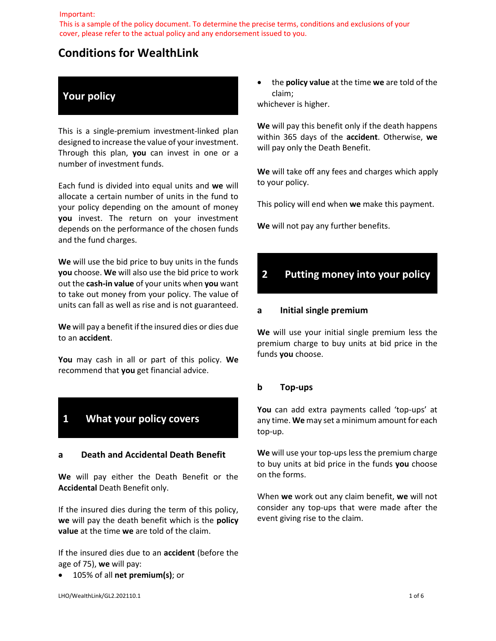#### Important:

This is a sample of the policy document. To determine the precise terms, conditions and exclusions of your cover, please refer to the actual policy and any endorsement issued to you.

### **Conditions for WealthLink**

### **Your policy**

This is a single-premium investment-linked plan designed to increase the value of your investment. Through this plan, **you** can invest in one or a number of investment funds.

Each fund is divided into equal units and **we** will allocate a certain number of units in the fund to your policy depending on the amount of money **you** invest. The return on your investment depends on the performance of the chosen funds and the fund charges.

**We** will use the bid price to buy units in the funds **you** choose. **We** will also use the bid price to work out the **cash-in value** of your units when **you** want to take out money from your policy. The value of units can fall as well as rise and is not guaranteed.

**We** will pay a benefit if the insured dies or dies due to an **accident**.

**You** may cash in all or part of this policy. **We**  recommend that **you** get financial advice.

## **1 What your policy covers**

#### **a Death and Accidental Death Benefit**

**We** will pay either the Death Benefit or the **Accidental** Death Benefit only.

If the insured dies during the term of this policy, **we** will pay the death benefit which is the **policy value** at the time **we** are told of the claim.

If the insured dies due to an **accident** (before the age of 75), **we** will pay:

105% of all **net premium(s)**; or

 the **policy value** at the time **we** are told of the claim;

whichever is higher.

**We** will pay this benefit only if the death happens within 365 days of the **accident**. Otherwise, **we** will pay only the Death Benefit.

**We** will take off any fees and charges which apply to your policy.

This policy will end when **we** make this payment.

**We** will not pay any further benefits.

# **2 Putting money into your policy**

#### **a Initial single premium**

**We** will use your initial single premium less the premium charge to buy units at bid price in the funds **you** choose.

#### **b Top-ups**

**You** can add extra payments called 'top-ups' at any time. **We** may set a minimum amount for each top-up.

**We** will use your top-ups less the premium charge to buy units at bid price in the funds **you** choose on the forms.

When **we** work out any claim benefit, **we** will not consider any top-ups that were made after the event giving rise to the claim.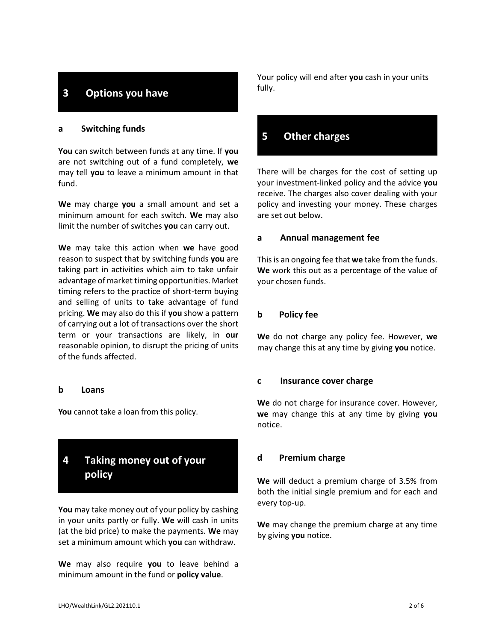## **3 Options you have**

#### **a Switching funds**

**You** can switch between funds at any time. If **you**  are not switching out of a fund completely, **we**  may tell **you** to leave a minimum amount in that fund.

**We** may charge **you** a small amount and set a minimum amount for each switch. **We** may also limit the number of switches **you** can carry out.

**We** may take this action when **we** have good reason to suspect that by switching funds **you** are taking part in activities which aim to take unfair advantage of market timing opportunities. Market timing refers to the practice of short-term buying and selling of units to take advantage of fund pricing. **We** may also do this if **you** show a pattern of carrying out a lot of transactions over the short term or your transactions are likely, in **our**  reasonable opinion, to disrupt the pricing of units of the funds affected.

#### **b Loans**

**You** cannot take a loan from this policy.

# **4 Taking money out of your policy**

**You** may take money out of your policy by cashing in your units partly or fully. **We** will cash in units (at the bid price) to make the payments. **We** may set a minimum amount which **you** can withdraw.

**We** may also require **you** to leave behind a minimum amount in the fund or **policy value**.

Your policy will end after **you** cash in your units fully.

## **5 Other charges**

There will be charges for the cost of setting up your investment-linked policy and the advice **you**  receive. The charges also cover dealing with your policy and investing your money. These charges are set out below.

#### **a Annual management fee**

This is an ongoing fee that **we** take from the funds. **We** work this out as a percentage of the value of your chosen funds.

#### **b Policy fee**

**We** do not charge any policy fee. However, **we**  may change this at any time by giving **you** notice.

#### **c Insurance cover charge**

**We** do not charge for insurance cover. However, **we** may change this at any time by giving **you**  notice.

#### **d Premium charge**

**We** will deduct a premium charge of 3.5% from both the initial single premium and for each and every top-up.

**We** may change the premium charge at any time by giving **you** notice.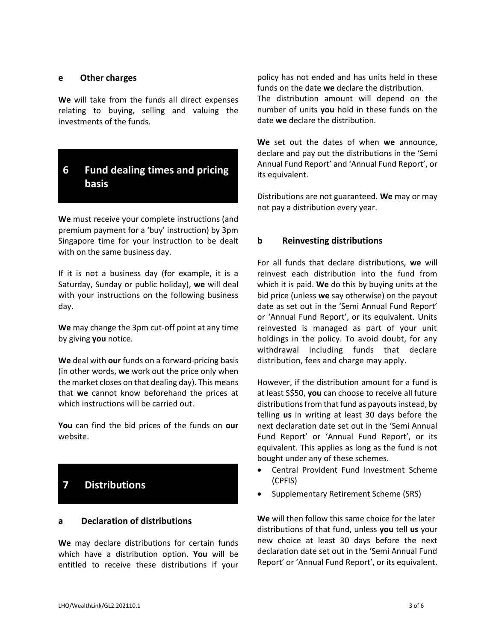#### **e Other charges**

**We** will take from the funds all direct expenses relating to buying, selling and valuing the investments of the funds.

## **6 Fund dealing times and pricing basis**

**We** must receive your complete instructions (and premium payment for a 'buy' instruction) by 3pm Singapore time for your instruction to be dealt with on the same business day.

If it is not a business day (for example, it is a Saturday, Sunday or public holiday), **we** will deal with your instructions on the following business day.

**We** may change the 3pm cut-off point at any time by giving **you** notice.

**We** deal with **our** funds on a forward-pricing basis (in other words, **we** work out the price only when the market closes on that dealing day). This means that **we** cannot know beforehand the prices at which instructions will be carried out.

**You** can find the bid prices of the funds on **our**  website.

## **7 Distributions**

### **a Declaration of distributions**

**We** may declare distributions for certain funds which have a distribution option. **You** will be entitled to receive these distributions if your

policy has not ended and has units held in these funds on the date **we** declare the distribution. The distribution amount will depend on the number of units **you** hold in these funds on the date **we** declare the distribution.

**We** set out the dates of when **we** announce, declare and pay out the distributions in the 'Semi Annual Fund Report' and 'Annual Fund Report', or its equivalent.

Distributions are not guaranteed. **We** may or may not pay a distribution every year.

#### **b Reinvesting distributions**

For all funds that declare distributions, **we** will reinvest each distribution into the fund from which it is paid. **We** do this by buying units at the bid price (unless **we** say otherwise) on the payout date as set out in the 'Semi Annual Fund Report' or 'Annual Fund Report', or its equivalent. Units reinvested is managed as part of your unit holdings in the policy. To avoid doubt, for any withdrawal including funds that declare distribution, fees and charge may apply.

However, if the distribution amount for a fund is at least S\$50, **you** can choose to receive all future distributions from that fund as payouts instead, by telling **us** in writing at least 30 days before the next declaration date set out in the 'Semi Annual Fund Report' or 'Annual Fund Report', or its equivalent. This applies as long as the fund is not bought under any of these schemes.

- Central Provident Fund Investment Scheme (CPFIS)
- Supplementary Retirement Scheme (SRS)

**We** will then follow this same choice for the later distributions of that fund, unless **you** tell **us** your new choice at least 30 days before the next declaration date set out in the 'Semi Annual Fund Report' or 'Annual Fund Report', or its equivalent.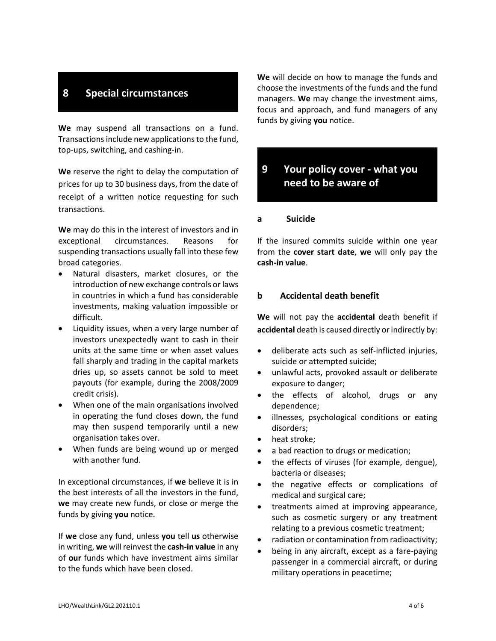### **8 Special circumstances**

**We** may suspend all transactions on a fund. Transactions include new applications to the fund, top-ups, switching, and cashing-in.

**We** reserve the right to delay the computation of prices for up to 30 business days, from the date of receipt of a written notice requesting for such transactions.

**We** may do this in the interest of investors and in exceptional circumstances. Reasons for suspending transactions usually fall into these few broad categories.

- Natural disasters, market closures, or the introduction of new exchange controls or laws in countries in which a fund has considerable investments, making valuation impossible or difficult.
- Liquidity issues, when a very large number of investors unexpectedly want to cash in their units at the same time or when asset values fall sharply and trading in the capital markets dries up, so assets cannot be sold to meet payouts (for example, during the 2008/2009 credit crisis).
- When one of the main organisations involved in operating the fund closes down, the fund may then suspend temporarily until a new organisation takes over.
- When funds are being wound up or merged with another fund.

In exceptional circumstances, if **we** believe it is in the best interests of all the investors in the fund, **we** may create new funds, or close or merge the funds by giving **you** notice.

If **we** close any fund, unless **you** tell **us** otherwise in writing, **we** will reinvest the **cash-in value** in any of **our** funds which have investment aims similar to the funds which have been closed.

**We** will decide on how to manage the funds and choose the investments of the funds and the fund managers. **We** may change the investment aims, focus and approach, and fund managers of any funds by giving **you** notice.

### **9 Your policy cover - what you need to be aware of**

#### **a Suicide**

If the insured commits suicide within one year from the **cover start date**, **we** will only pay the **cash-in value**.

#### **b Accidental death benefit**

**We** will not pay the **accidental** death benefit if **accidental** death is caused directly or indirectly by:

- deliberate acts such as self-inflicted injuries, suicide or attempted suicide;
- unlawful acts, provoked assault or deliberate exposure to danger;
- the effects of alcohol, drugs or any dependence;
- illnesses, psychological conditions or eating disorders;
- heat stroke;
- a bad reaction to drugs or medication;
- the effects of viruses (for example, dengue), bacteria or diseases;
- the negative effects or complications of medical and surgical care;
- treatments aimed at improving appearance, such as cosmetic surgery or any treatment relating to a previous cosmetic treatment;
- radiation or contamination from radioactivity;
- being in any aircraft, except as a fare-paying passenger in a commercial aircraft, or during military operations in peacetime;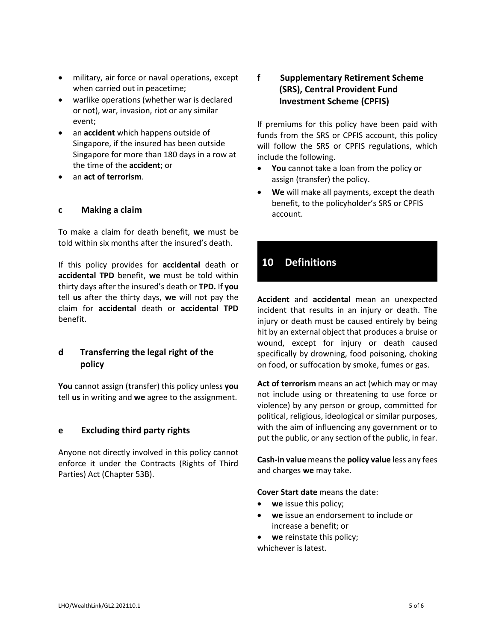- military, air force or naval operations, except when carried out in peacetime;
- warlike operations (whether war is declared or not), war, invasion, riot or any similar event;
- an **accident** which happens outside of Singapore, if the insured has been outside Singapore for more than 180 days in a row at the time of the **accident**; or
- an **act of terrorism**.

#### **c Making a claim**

To make a claim for death benefit, **we** must be told within six months after the insured's death.

If this policy provides for **accidental** death or **accidental TPD** benefit, **we** must be told within thirty days after the insured's death or **TPD.** If **you** tell **us** after the thirty days, **we** will not pay the claim for **accidental** death or **accidental TPD** benefit.

### **d Transferring the legal right of the policy**

**You** cannot assign (transfer) this policy unless **you**  tell **us** in writing and **we** agree to the assignment.

### **e Excluding third party rights**

Anyone not directly involved in this policy cannot enforce it under the Contracts (Rights of Third Parties) Act (Chapter 53B).

### **f Supplementary Retirement Scheme (SRS), Central Provident Fund Investment Scheme (CPFIS)**

If premiums for this policy have been paid with funds from the SRS or CPFIS account, this policy will follow the SRS or CPFIS regulations, which include the following.

- **You** cannot take a loan from the policy or assign (transfer) the policy.
- **We** will make all payments, except the death benefit, to the policyholder's SRS or CPFIS account.

### **10 Definitions**

**Accident** and **accidental** mean an unexpected incident that results in an injury or death. The injury or death must be caused entirely by being hit by an external object that produces a bruise or wound, except for injury or death caused specifically by drowning, food poisoning, choking on food, or suffocation by smoke, fumes or gas.

**Act of terrorism** means an act (which may or may not include using or threatening to use force or violence) by any person or group, committed for political, religious, ideological or similar purposes, with the aim of influencing any government or to put the public, or any section of the public, in fear.

**Cash-in value** means the **policy value** less any fees and charges **we** may take.

**Cover Start date** means the date:

- **we** issue this policy;
- **we** issue an endorsement to include or increase a benefit; or
- **we** reinstate this policy;

whichever is latest.